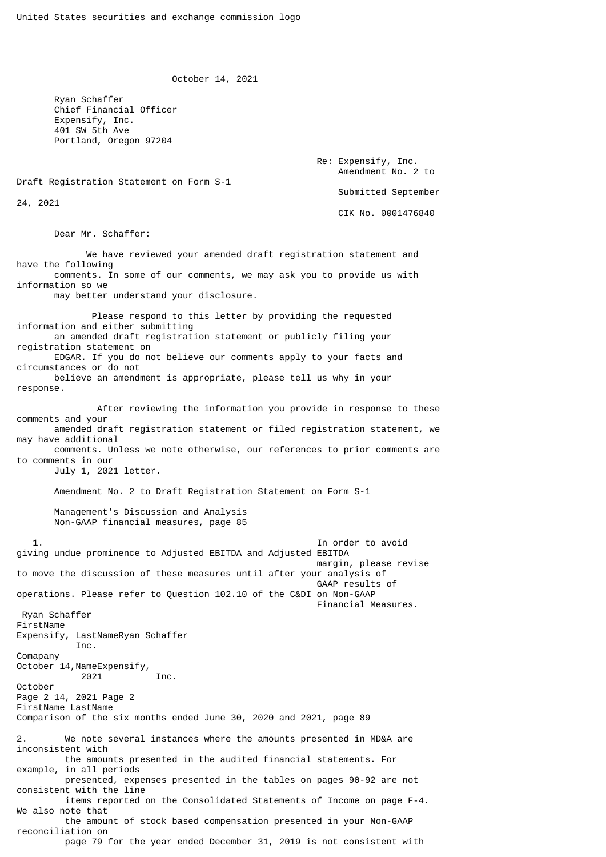October 14, 2021

 Ryan Schaffer Chief Financial Officer Expensify, Inc. 401 SW 5th Ave Portland, Oregon 97204

> Re: Expensify, Inc. Amendment No. 2 to Submitted September CIK No. 0001476840

Draft Registration Statement on Form S-1

24, 2021

Dear Mr. Schaffer:

 We have reviewed your amended draft registration statement and have the following comments. In some of our comments, we may ask you to provide us with information so we may better understand your disclosure. Please respond to this letter by providing the requested information and either submitting an amended draft registration statement or publicly filing your registration statement on EDGAR. If you do not believe our comments apply to your facts and circumstances or do not believe an amendment is appropriate, please tell us why in your response. After reviewing the information you provide in response to these comments and your amended draft registration statement or filed registration statement, we may have additional comments. Unless we note otherwise, our references to prior comments are to comments in our July 1, 2021 letter. Amendment No. 2 to Draft Registration Statement on Form S-1 Management's Discussion and Analysis Non-GAAP financial measures, page 85 1. In order to avoid giving undue prominence to Adjusted EBITDA and Adjusted EBITDA margin, please revise to move the discussion of these measures until after your analysis of GAAP results of operations. Please refer to Question 102.10 of the C&DI on Non-GAAP Financial Measures. Ryan Schaffer FirstName Expensify, LastNameRyan Schaffer Inc. Comapany October 14,NameExpensify, 2021 Inc. October Page 2 14, 2021 Page 2 FirstName LastName Comparison of the six months ended June 30, 2020 and 2021, page 89 2. We note several instances where the amounts presented in MD&A are inconsistent with the amounts presented in the audited financial statements. For example, in all periods presented, expenses presented in the tables on pages 90-92 are not consistent with the line items reported on the Consolidated Statements of Income on page F-4. We also note that the amount of stock based compensation presented in your Non-GAAP reconciliation on page 79 for the year ended December 31, 2019 is not consistent with